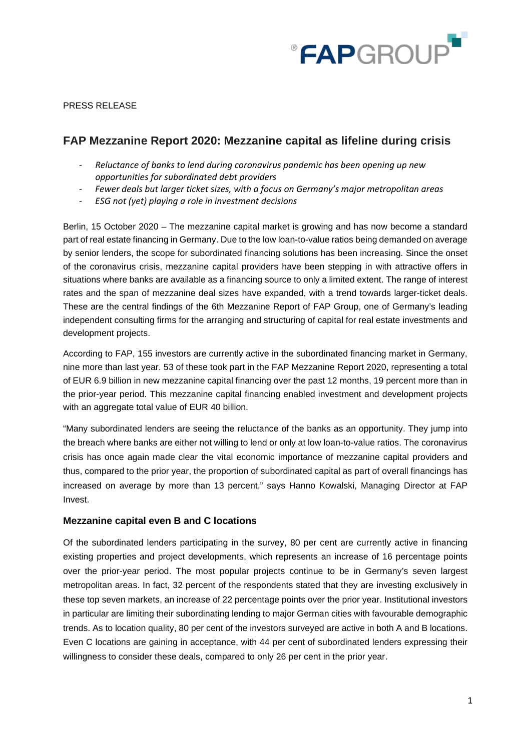

### PRESS RELEASE

# **FAP Mezzanine Report 2020: Mezzanine capital as lifeline during crisis**

- *Reluctance of banks to lend during coronavirus pandemic has been opening up new opportunities for subordinated debt providers*
- *Fewer deals but larger ticket sizes, with a focus on Germany's major metropolitan areas*
- *ESG not (yet) playing a role in investment decisions*

Berlin, 15 October 2020 – The mezzanine capital market is growing and has now become a standard part of real estate financing in Germany. Due to the low loan-to-value ratios being demanded on average by senior lenders, the scope for subordinated financing solutions has been increasing. Since the onset of the coronavirus crisis, mezzanine capital providers have been stepping in with attractive offers in situations where banks are available as a financing source to only a limited extent. The range of interest rates and the span of mezzanine deal sizes have expanded, with a trend towards larger-ticket deals. These are the central findings of the 6th Mezzanine Report of FAP Group, one of Germany's leading independent consulting firms for the arranging and structuring of capital for real estate investments and development projects.

According to FAP, 155 investors are currently active in the subordinated financing market in Germany, nine more than last year. 53 of these took part in the FAP Mezzanine Report 2020, representing a total of EUR 6.9 billion in new mezzanine capital financing over the past 12 months, 19 percent more than in the prior-year period. This mezzanine capital financing enabled investment and development projects with an aggregate total value of EUR 40 billion.

"Many subordinated lenders are seeing the reluctance of the banks as an opportunity. They jump into the breach where banks are either not willing to lend or only at low loan-to-value ratios. The coronavirus crisis has once again made clear the vital economic importance of mezzanine capital providers and thus, compared to the prior year, the proportion of subordinated capital as part of overall financings has increased on average by more than 13 percent," says Hanno Kowalski, Managing Director at FAP Invest.

## **Mezzanine capital even B and C locations**

Of the subordinated lenders participating in the survey, 80 per cent are currently active in financing existing properties and project developments, which represents an increase of 16 percentage points over the prior-year period. The most popular projects continue to be in Germany's seven largest metropolitan areas. In fact, 32 percent of the respondents stated that they are investing exclusively in these top seven markets, an increase of 22 percentage points over the prior year. Institutional investors in particular are limiting their subordinating lending to major German cities with favourable demographic trends. As to location quality, 80 per cent of the investors surveyed are active in both A and B locations. Even C locations are gaining in acceptance, with 44 per cent of subordinated lenders expressing their willingness to consider these deals, compared to only 26 per cent in the prior year.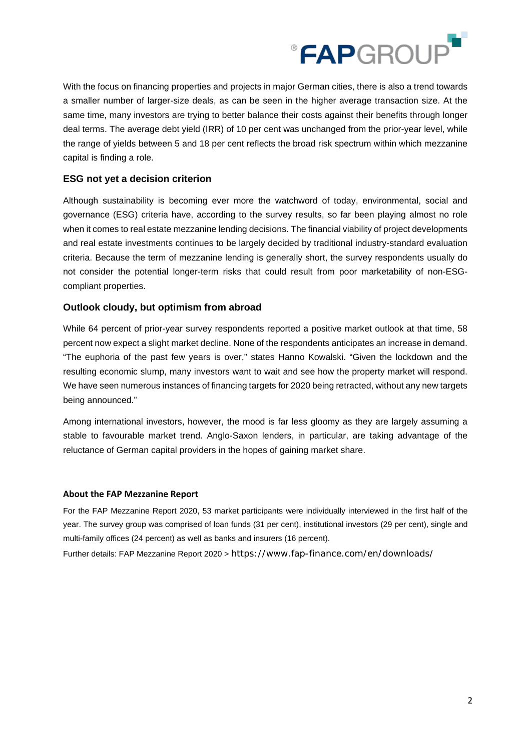

With the focus on financing properties and projects in major German cities, there is also a trend towards a smaller number of larger-size deals, as can be seen in the higher average transaction size. At the same time, many investors are trying to better balance their costs against their benefits through longer deal terms. The average debt yield (IRR) of 10 per cent was unchanged from the prior-year level, while the range of yields between 5 and 18 per cent reflects the broad risk spectrum within which mezzanine capital is finding a role.

## **ESG not yet a decision criterion**

Although sustainability is becoming ever more the watchword of today, environmental, social and governance (ESG) criteria have, according to the survey results, so far been playing almost no role when it comes to real estate mezzanine lending decisions. The financial viability of project developments and real estate investments continues to be largely decided by traditional industry-standard evaluation criteria. Because the term of mezzanine lending is generally short, the survey respondents usually do not consider the potential longer-term risks that could result from poor marketability of non-ESGcompliant properties.

## **Outlook cloudy, but optimism from abroad**

While 64 percent of prior-year survey respondents reported a positive market outlook at that time, 58 percent now expect a slight market decline. None of the respondents anticipates an increase in demand. "The euphoria of the past few years is over," states Hanno Kowalski. "Given the lockdown and the resulting economic slump, many investors want to wait and see how the property market will respond. We have seen numerous instances of financing targets for 2020 being retracted, without any new targets being announced."

Among international investors, however, the mood is far less gloomy as they are largely assuming a stable to favourable market trend. Anglo-Saxon lenders, in particular, are taking advantage of the reluctance of German capital providers in the hopes of gaining market share.

## **About the FAP Mezzanine Report**

For the FAP Mezzanine Report 2020, 53 market participants were individually interviewed in the first half of the year. The survey group was comprised of loan funds (31 per cent), institutional investors (29 per cent), single and multi-family offices (24 percent) as well as banks and insurers (16 percent).

Further details: FAP Mezzanine Report 2020 > https://www.fap-finance.com/en/downloads/